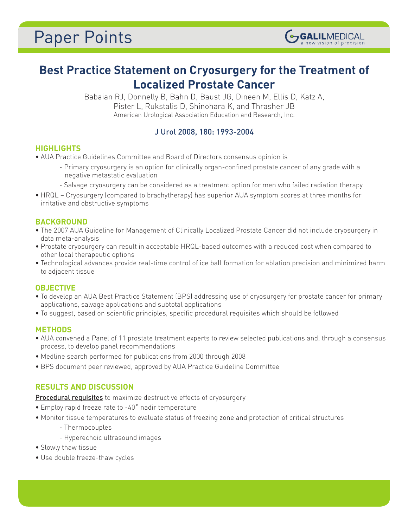# **Best Practice Statement on Cryosurgery for the Treatment of Localized Prostate Cancer**

**GALILMEDICAL** 

Babaian RJ, Donnelly B, Bahn D, Baust JG, Dineen M, Ellis D, Katz A, Pister L, Rukstalis D, Shinohara K, and Thrasher JB American Urological Association Education and Research, Inc.

## J Urol 2008, 180: 1993-2004

## **HIGHLIGHTS**

- AUA Practice Guidelines Committee and Board of Directors consensus opinion is
	- Primary cryosurgery is an option for clinically organ-confined prostate cancer of any grade with a negative metastatic evaluation
	- Salvage cryosurgery can be considered as a treatment option for men who failed radiation therapy
- HRQL Cryosurgery (compared to brachytherapy) has superior AUA symptom scores at three months for irritative and obstructive symptoms

## **BACKGROUND**

- The 2007 AUA Guideline for Management of Clinically Localized Prostate Cancer did not include cryosurgery in data meta-analysis
- Prostate cryosurgery can result in acceptable HRQL-based outcomes with a reduced cost when compared to other local therapeutic options
- Technological advances provide real-time control of ice ball formation for ablation precision and minimized harm to adjacent tissue

## **OBJECTIVE**

- To develop an AUA Best Practice Statement (BPS) addressing use of cryosurgery for prostate cancer for primary applications, salvage applications and subtotal applications
- To suggest, based on scientific principles, specific procedural requisites which should be followed

## **METHODS**

- AUA convened a Panel of 11 prostate treatment experts to review selected publications and, through a consensus process, to develop panel recommendations
- Medline search performed for publications from 2000 through 2008
- BPS document peer reviewed, approved by AUA Practice Guideline Committee

## **RESULTS AND DISCUSSION**

**Procedural requisites** to maximize destructive effects of cryosurgery

- Employ rapid freeze rate to -40˚ nadir temperature
- Monitor tissue temperatures to evaluate status of freezing zone and protection of critical structures
	- Thermocouples
	- Hyperechoic ultrasound images
- Slowly thaw tissue
- Use double freeze-thaw cycles